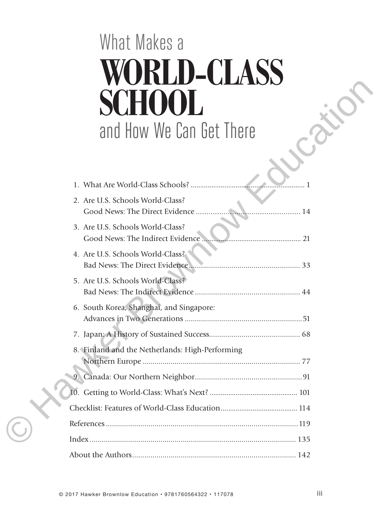# What Makes a **WORLD-CLASS SCHOOL** and How We Can Get There

| VII<br>$\blacksquare$<br><b>VILLEVI</b>         |
|-------------------------------------------------|
| HOOL                                            |
| and How We Can Get There                        |
|                                                 |
|                                                 |
| 2. Are U.S. Schools World-Class?<br>. 14        |
| 3. Are U.S. Schools World-Class?                |
| 4. Are U.S. Schools World-Class?                |
| 5. Are U.S. Schools World-Class?                |
| 6. South Korea, Shanghai, and Singapore:        |
|                                                 |
| 8. Finland and the Netherlands: High-Performing |
|                                                 |
|                                                 |
|                                                 |
|                                                 |
| Index …………………………………………………………………………………………… 135   |
|                                                 |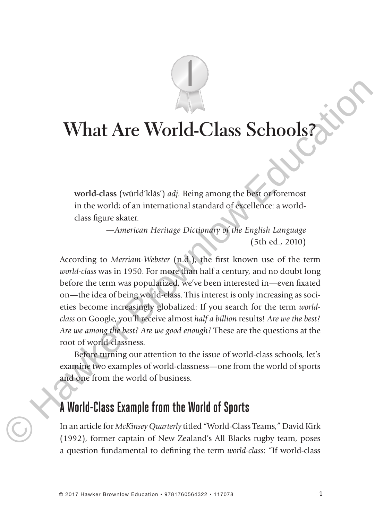# **What Are World-Class Schools?**

1

**world-class** (wûrld'kla˘s') *adj.* Being among the best or foremost in the world; of an international standard of excellence: a worldclass figure skater.

> *—American Heritage Dictionary of the English Language*  (5th ed., 2010)

According to *Merriam-Webster* (n.d.), the first known use of the term *world-class* was in 1950. For more than half a century, and no doubt long before the term was popularized, we've been interested in—even fixated on—the idea of being world-class. This interest is only increasing as societies become increasingly globalized: If you search for the term *worldclass* on Google, you'll receive almost *half a billion* results! *Are we the best? Are we among the best? Are we good enough?* These are the questions at the root of world-classness. **What Are World-Class Schools 2**<br>
world-class (wind "kias") adj. Being among the bisis of foremost<br>
in the world of an international standard of excellence: a world-<br>
dass figure skatt.<br>
dass for a metrical period of the

Before turning our attention to the issue of world-class schools, let's examine two examples of world-classness—one from the world of sports and one from the world of business.

## **A World-Class Example from the World of Sports**

In an article for *McKinsey Quarterly* titled "World-Class Teams," David Kirk (1992), former captain of New Zealand's All Blacks rugby team, poses a question fundamental to defining the term *world-class*: "If world-class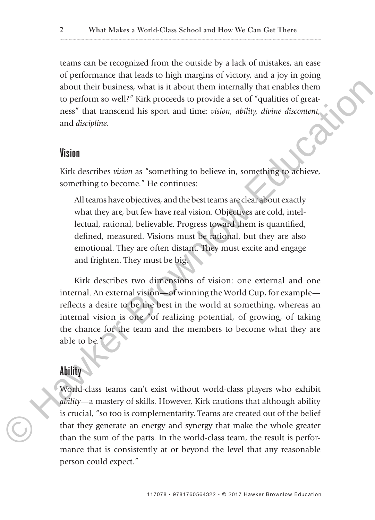teams can be recognized from the outside by a lack of mistakes, an ease of performance that leads to high margins of victory, and a joy in going about their business, what is it about them internally that enables them to perform so well?" Kirk proceeds to provide a set of "qualities of greatness" that transcend his sport and time: *vision, ability, divine discontent,* and *discipline.*

#### **Vision**

Kirk describes *vision* as "something to believe in, something to achieve, something to become." He continues:

All teams have objectives, and the best teams are clear about exactly what they are, but few have real vision. Objectives are cold, intellectual, rational, believable. Progress toward them is quantified, defined, measured. Visions must be rational, but they are also emotional. They are often distant. They must excite and engage and frighten. They must be big.

Kirk describes two dimensions of vision: one external and one internal. An external vision—of winning the World Cup, for example reflects a desire to be the best in the world at something, whereas an internal vision is one "of realizing potential, of growing, of taking the chance for the team and the members to become what they are able to be." Mout their business, what is it about them internally that enables them<br>to perform so well?" Kirk proceeds to provide a set of "qualities of geat-<br>reservant discipline.<br>First proceeds to provide a set of "qualities of geat

#### **Ability**

World-class teams can't exist without world-class players who exhibit *ability*—a mastery of skills. However, Kirk cautions that although ability is crucial, "so too is complementarity. Teams are created out of the belief that they generate an energy and synergy that make the whole greater than the sum of the parts. In the world-class team, the result is performance that is consistently at or beyond the level that any reasonable person could expect."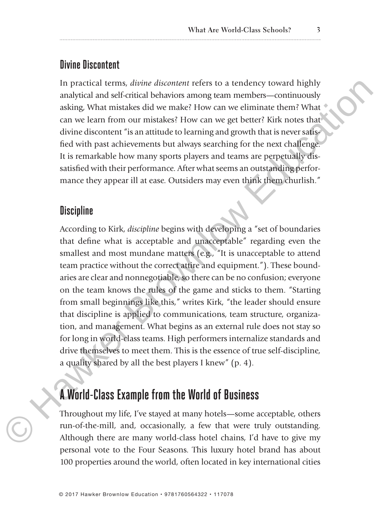#### **Divine Discontent**

In practical terms, *divine discontent* refers to a tendency toward highly analytical and self-critical behaviors among team members—continuously asking, What mistakes did we make? How can we eliminate them? What can we learn from our mistakes? How can we get better? Kirk notes that divine discontent "is an attitude to learning and growth that is never satisfied with past achievements but always searching for the next challenge. It is remarkable how many sports players and teams are perpetually dissatisfied with their performance. After what seems an outstanding performance they appear ill at ease. Outsiders may even think them churlish."

#### **Discipline**

According to Kirk, *discipline* begins with developing a "set of boundaries that define what is acceptable and unacceptable" regarding even the smallest and most mundane matters (e.g., "It is unacceptable to attend team practice without the correct attire and equipment."). These boundaries are clear and nonnegotiable, so there can be no confusion; everyone on the team knows the rules of the game and sticks to them. "Starting from small beginnings like this," writes Kirk, "the leader should ensure that discipline is applied to communications, team structure, organization, and management. What begins as an external rule does not stay so for long in world-class teams. High performers internalize standards and drive themselves to meet them. This is the essence of true self-discipline, a quality shared by all the best players I knew" (p. 4). In practice differents, divided discontent refers to a tendency toward highly<br>
analytical and self-critical behaviors among team members—continuously<br>
analytical and self-critical behaviors among team members—continuously

### **A World-Class Example from the World of Business**

Throughout my life, I've stayed at many hotels—some acceptable, others run-of-the-mill, and, occasionally, a few that were truly outstanding. Although there are many world-class hotel chains, I'd have to give my personal vote to the Four Seasons. This luxury hotel brand has about 100 properties around the world, often located in key international cities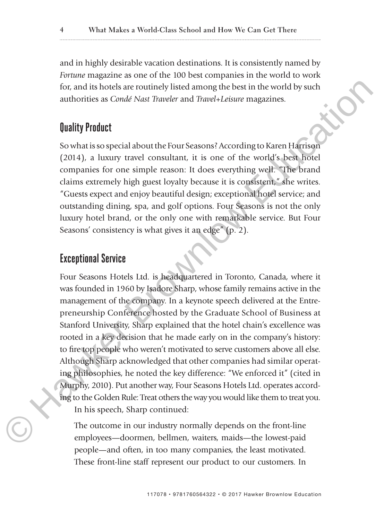and in highly desirable vacation destinations. It is consistently named by *Fortune* magazine as one of the 100 best companies in the world to work for, and its hotels are routinely listed among the best in the world by such authorities as *Condé Nast Traveler* and *Travel*+*Leisure* magazines.

#### **Quality Product**

So what is so special about the Four Seasons? According to Karen Harrison (2014), a luxury travel consultant, it is one of the world's best hotel companies for one simple reason: It does everything well. "The brand claims extremely high guest loyalty because it is consistent," she writes. "Guests expect and enjoy beautiful design; exceptional hotel service; and outstanding dining, spa, and golf options. Four Seasons is not the only luxury hotel brand, or the only one with remarkable service. But Four Seasons' consistency is what gives it an edge" (p. 2).

#### **Exceptional Service**

Four Seasons Hotels Ltd. is headquartered in Toronto, Canada, where it was founded in 1960 by Isadore Sharp, whose family remains active in the management of the company. In a keynote speech delivered at the Entrepreneurship Conference hosted by the Graduate School of Business at Stanford University, Sharp explained that the hotel chain's excellence was rooted in a key decision that he made early on in the company's history: to fire top people who weren't motivated to serve customers above all else. Although Sharp acknowledged that other companies had similar operating philosophies, he noted the key difference: "We enforced it" (cited in Murphy, 2010). Put another way, Four Seasons Hotels Ltd. operates according to the Golden Rule: Treat others the way you would like them to treat you. In his speech, Sharp continued: for, and is hotels are coutinely listed among the best in the world by such<br>
authorities as Condé Nast Traveler and Travel-Leisure magazines.<br> **Quality Product**<br>
So what is so special about the Four Seasons? According to

The outcome in our industry normally depends on the front-line employees—doormen, bellmen, waiters, maids—the lowest-paid people—and often, in too many companies, the least motivated. These front-line staff represent our product to our customers. In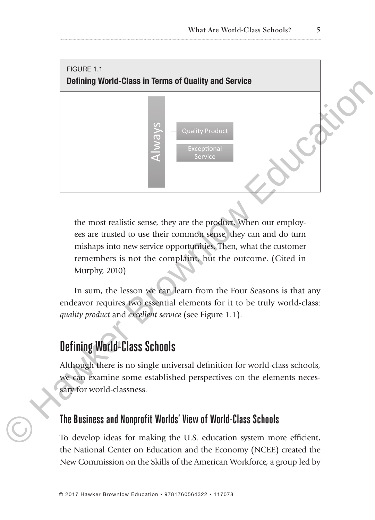

the most realistic sense, they are the product. When our employees are trusted to use their common sense, they can and do turn mishaps into new service opportunities. Then, what the customer remembers is not the complaint, but the outcome. (Cited in Murphy, 2010)

In sum, the lesson we can learn from the Four Seasons is that any endeavor requires two essential elements for it to be truly world-class: *quality product* and *excellent service* (see Figure 1.1).

# **Defining World-Class Schools**

Although there is no single universal definition for world-class schools, we can examine some established perspectives on the elements necessary for world-classness.

#### **The Business and Nonprofit Worlds' View of World-Class Schools**

To develop ideas for making the U.S. education system more efficient, the National Center on Education and the Economy (NCEE) created the New Commission on the Skills of the American Workforce, a group led by